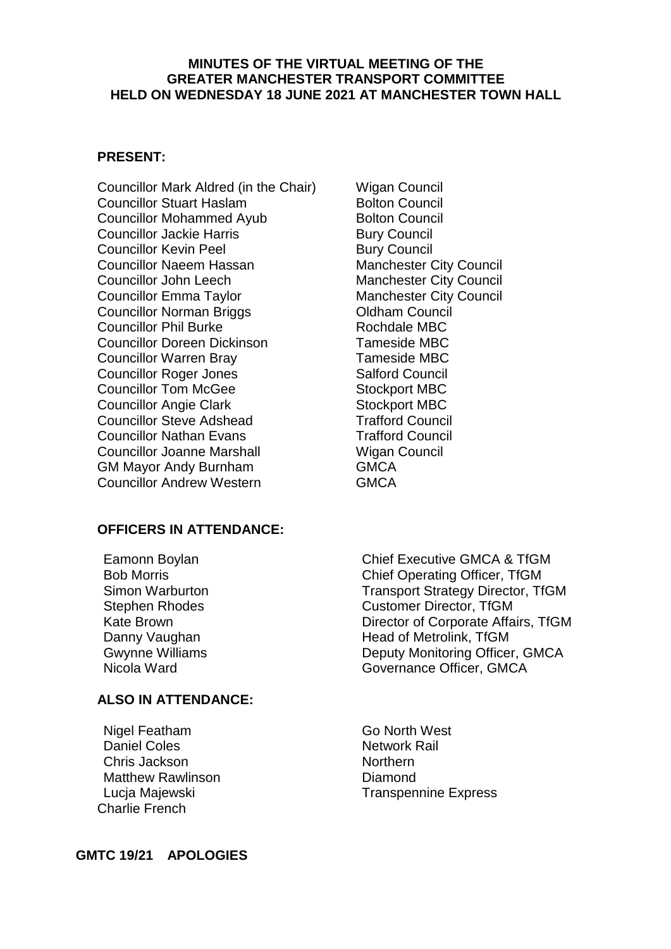#### **MINUTES OF THE VIRTUAL MEETING OF THE GREATER MANCHESTER TRANSPORT COMMITTEE HELD ON WEDNESDAY 18 JUNE 2021 AT MANCHESTER TOWN HALL**

### **PRESENT:**

Councillor Mark Aldred (in the Chair) Wigan Council **Councillor Stuart Haslam Bolton Council** Councillor Mohammed Ayub Bolton Council Councillor Jackie Harris **Bury Council** Bury Council **Councillor Kevin Peel Bury Council** Councillor Naeem Hassan Manchester City Council Councillor John Leech Manchester City Council Councillor Emma Taylor Manchester City Council Councillor Norman Briggs **Councillor** Oldham Council Councillor Phil Burke Rochdale MBC Councillor Doreen Dickinson Tameside MBC Councillor Warren Bray Tameside MBC **Councillor Roger Jones** Salford Council Councillor Tom McGee Stockport MBC Councillor Angie Clark Stockport MBC **Councillor Steve Adshead Trafford Council** Councillor Nathan Evans Trafford Council Councillor Joanne Marshall Wigan Council GM Mayor Andy Burnham GMCA Councillor Andrew Western GMCA

#### **OFFICERS IN ATTENDANCE:**

### **ALSO IN ATTENDANCE:**

Nigel Featham Go North West Daniel Coles Network Rail Chris Jackson Northern Matthew Rawlinson **Diamond** Charlie French

Eamonn Boylan Chief Executive GMCA & TfGM Bob Morris Chief Operating Officer, TfGM Simon Warburton Transport Strategy Director, TfGM Stephen Rhodes Customer Director, TfGM Kate Brown **Director of Corporate Affairs, TfGM** Danny Vaughan **Head of Metrolink**, TfGM Gwynne Williams **Deputy Monitoring Officer, GMCA** Nicola Ward **Governance Officer, GMCA** 

Lucja Majewski **National Americian Express** 

**GMTC 19/21 APOLOGIES**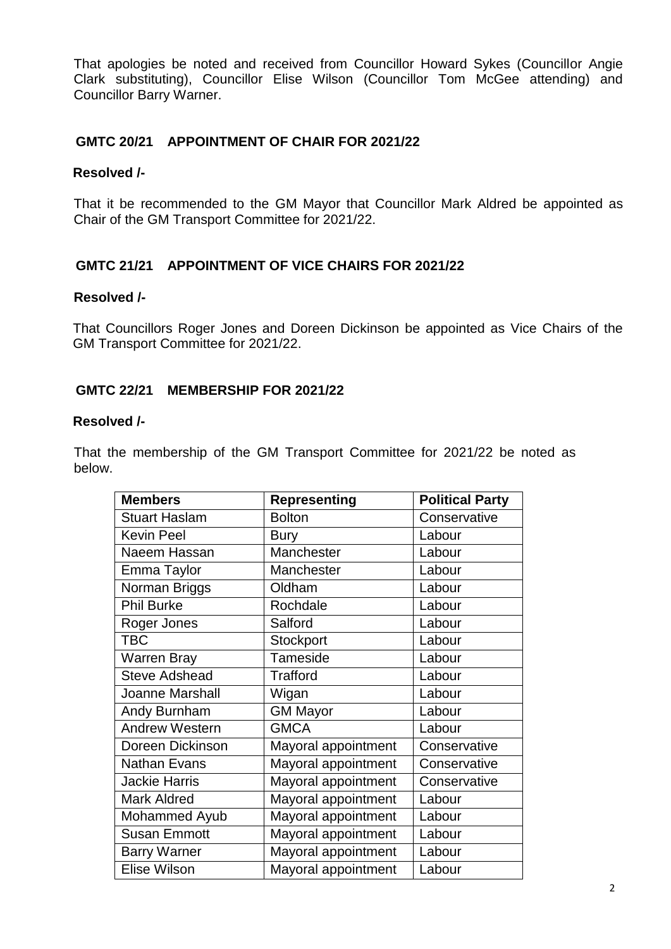That apologies be noted and received from Councillor Howard Sykes (Councillor Angie Clark substituting), Councillor Elise Wilson (Councillor Tom McGee attending) and Councillor Barry Warner.

## **GMTC 20/21 APPOINTMENT OF CHAIR FOR 2021/22**

### **Resolved /-**

That it be recommended to the GM Mayor that Councillor Mark Aldred be appointed as Chair of the GM Transport Committee for 2021/22.

## **GMTC 21/21 APPOINTMENT OF VICE CHAIRS FOR 2021/22**

#### **Resolved /-**

That Councillors Roger Jones and Doreen Dickinson be appointed as Vice Chairs of the GM Transport Committee for 2021/22.

## **GMTC 22/21 MEMBERSHIP FOR 2021/22**

#### **Resolved /-**

That the membership of the GM Transport Committee for 2021/22 be noted as below.

| <b>Members</b>        | <b>Representing</b> | <b>Political Party</b> |
|-----------------------|---------------------|------------------------|
| <b>Stuart Haslam</b>  | <b>Bolton</b>       | Conservative           |
| <b>Kevin Peel</b>     | <b>Bury</b>         | Labour                 |
| Naeem Hassan          | Manchester          | Labour                 |
| Emma Taylor           | Manchester          | Labour                 |
| Norman Briggs         | Oldham              | Labour                 |
| <b>Phil Burke</b>     | Rochdale            | Labour                 |
| Roger Jones           | Salford             | Labour                 |
| <b>TBC</b>            | Stockport           | Labour                 |
| <b>Warren Bray</b>    | Tameside            | Labour                 |
| <b>Steve Adshead</b>  | <b>Trafford</b>     | Labour                 |
| Joanne Marshall       | Wigan               | Labour                 |
| Andy Burnham          | <b>GM Mayor</b>     | Labour                 |
| <b>Andrew Western</b> | <b>GMCA</b>         | Labour                 |
| Doreen Dickinson      | Mayoral appointment | Conservative           |
| <b>Nathan Evans</b>   | Mayoral appointment | Conservative           |
| <b>Jackie Harris</b>  | Mayoral appointment | Conservative           |
| <b>Mark Aldred</b>    | Mayoral appointment | Labour                 |
| Mohammed Ayub         | Mayoral appointment | Labour                 |
| <b>Susan Emmott</b>   | Mayoral appointment | Labour                 |
| <b>Barry Warner</b>   | Mayoral appointment | Labour                 |
| Elise Wilson          | Mayoral appointment | Labour                 |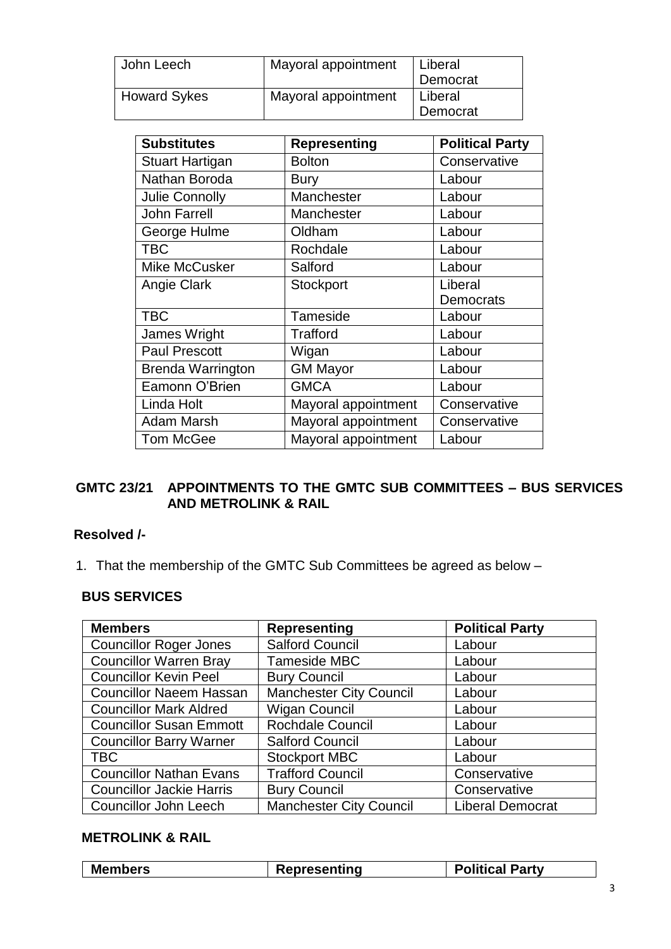| John Leech          | Mayoral appointment | Liberal<br>Democrat |
|---------------------|---------------------|---------------------|
| <b>Howard Sykes</b> | Mayoral appointment | Liberal<br>Democrat |

| <b>Substitutes</b>       | <b>Representing</b> | <b>Political Party</b> |
|--------------------------|---------------------|------------------------|
| <b>Stuart Hartigan</b>   | <b>Bolton</b>       | Conservative           |
| Nathan Boroda            | <b>Bury</b>         | Labour                 |
| <b>Julie Connolly</b>    | Manchester          | Labour                 |
| <b>John Farrell</b>      | Manchester          | Labour                 |
| George Hulme             | Oldham              | Labour                 |
| <b>TBC</b>               | Rochdale            | Labour                 |
| <b>Mike McCusker</b>     | Salford             | Labour                 |
| Angie Clark              | Stockport           | Liberal                |
|                          |                     | <b>Democrats</b>       |
| <b>TBC</b>               | Tameside            | Labour                 |
| James Wright             | Trafford            | Labour                 |
| <b>Paul Prescott</b>     | Wigan               | Labour                 |
| <b>Brenda Warrington</b> | <b>GM Mayor</b>     | Labour                 |
| Eamonn O'Brien           | <b>GMCA</b>         | Labour                 |
| Linda Holt               | Mayoral appointment | Conservative           |
| <b>Adam Marsh</b>        | Mayoral appointment | Conservative           |
| <b>Tom McGee</b>         | Mayoral appointment | Labour                 |

## **GMTC 23/21 APPOINTMENTS TO THE GMTC SUB COMMITTEES – BUS SERVICES AND METROLINK & RAIL**

## **Resolved /-**

1. That the membership of the GMTC Sub Committees be agreed as below –

### **BUS SERVICES**

| <b>Members</b>                  | <b>Representing</b>            | <b>Political Party</b>  |
|---------------------------------|--------------------------------|-------------------------|
| <b>Councillor Roger Jones</b>   | <b>Salford Council</b>         | Labour                  |
| <b>Councillor Warren Bray</b>   | Tameside MBC                   | Labour                  |
| <b>Councillor Kevin Peel</b>    | <b>Bury Council</b>            | Labour                  |
| <b>Councillor Naeem Hassan</b>  | Manchester City Council        | Labour                  |
| <b>Councillor Mark Aldred</b>   | <b>Wigan Council</b>           | Labour                  |
| <b>Councillor Susan Emmott</b>  | Rochdale Council               | Labour                  |
| <b>Councillor Barry Warner</b>  | <b>Salford Council</b>         | Labour                  |
| TBC                             | <b>Stockport MBC</b>           | Labour                  |
| <b>Councillor Nathan Evans</b>  | <b>Trafford Council</b>        | Conservative            |
| <b>Councillor Jackie Harris</b> | <b>Bury Council</b>            | Conservative            |
| <b>Councillor John Leech</b>    | <b>Manchester City Council</b> | <b>Liberal Democrat</b> |

# **METROLINK & RAIL**

| <b>Members</b><br>litical Partyد<br>epresenting |
|-------------------------------------------------|
|-------------------------------------------------|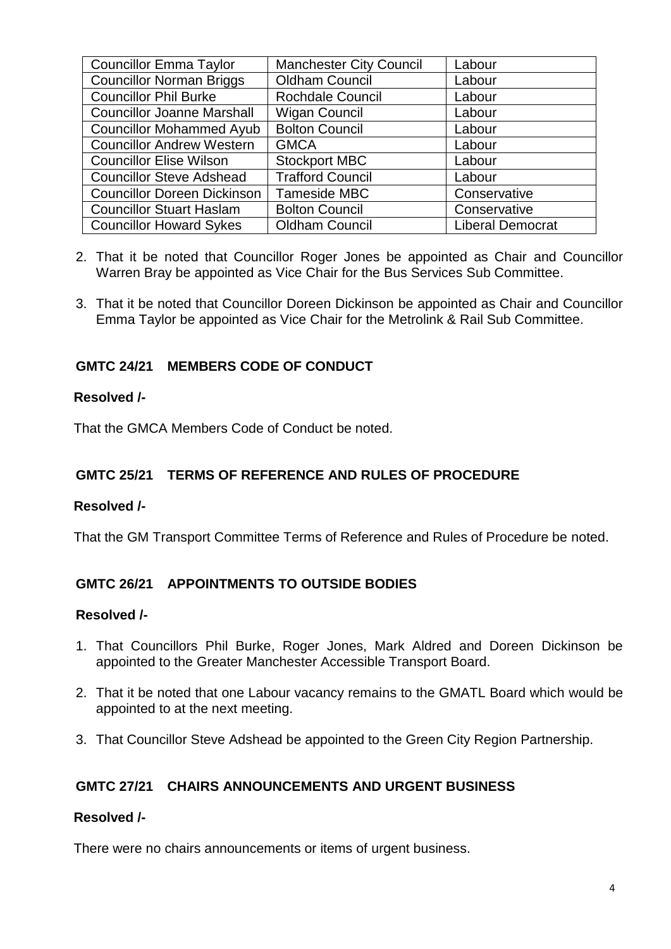| <b>Councillor Emma Taylor</b>      | <b>Manchester City Council</b> | Labour                  |
|------------------------------------|--------------------------------|-------------------------|
| <b>Councillor Norman Briggs</b>    | <b>Oldham Council</b>          | Labour                  |
| <b>Councillor Phil Burke</b>       | <b>Rochdale Council</b>        | Labour                  |
| <b>Councillor Joanne Marshall</b>  | <b>Wigan Council</b>           | Labour                  |
| <b>Councillor Mohammed Ayub</b>    | <b>Bolton Council</b>          | Labour                  |
| <b>Councillor Andrew Western</b>   | <b>GMCA</b>                    | Labour                  |
| <b>Councillor Elise Wilson</b>     | <b>Stockport MBC</b>           | Labour                  |
| <b>Councillor Steve Adshead</b>    | <b>Trafford Council</b>        | Labour                  |
| <b>Councillor Doreen Dickinson</b> | Tameside MBC                   | Conservative            |
| <b>Councillor Stuart Haslam</b>    | <b>Bolton Council</b>          | Conservative            |
| <b>Councillor Howard Sykes</b>     | <b>Oldham Council</b>          | <b>Liberal Democrat</b> |

- 2. That it be noted that Councillor Roger Jones be appointed as Chair and Councillor Warren Bray be appointed as Vice Chair for the Bus Services Sub Committee.
- 3. That it be noted that Councillor Doreen Dickinson be appointed as Chair and Councillor Emma Taylor be appointed as Vice Chair for the Metrolink & Rail Sub Committee.

## **GMTC 24/21 MEMBERS CODE OF CONDUCT**

#### **Resolved /-**

That the GMCA Members Code of Conduct be noted.

## **GMTC 25/21 TERMS OF REFERENCE AND RULES OF PROCEDURE**

#### **Resolved /-**

That the GM Transport Committee Terms of Reference and Rules of Procedure be noted.

## **GMTC 26/21 APPOINTMENTS TO OUTSIDE BODIES**

#### **Resolved /-**

- 1. That Councillors Phil Burke, Roger Jones, Mark Aldred and Doreen Dickinson be appointed to the Greater Manchester Accessible Transport Board.
- 2. That it be noted that one Labour vacancy remains to the GMATL Board which would be appointed to at the next meeting.
- 3. That Councillor Steve Adshead be appointed to the Green City Region Partnership.

## **GMTC 27/21 CHAIRS ANNOUNCEMENTS AND URGENT BUSINESS**

### **Resolved /-**

There were no chairs announcements or items of urgent business.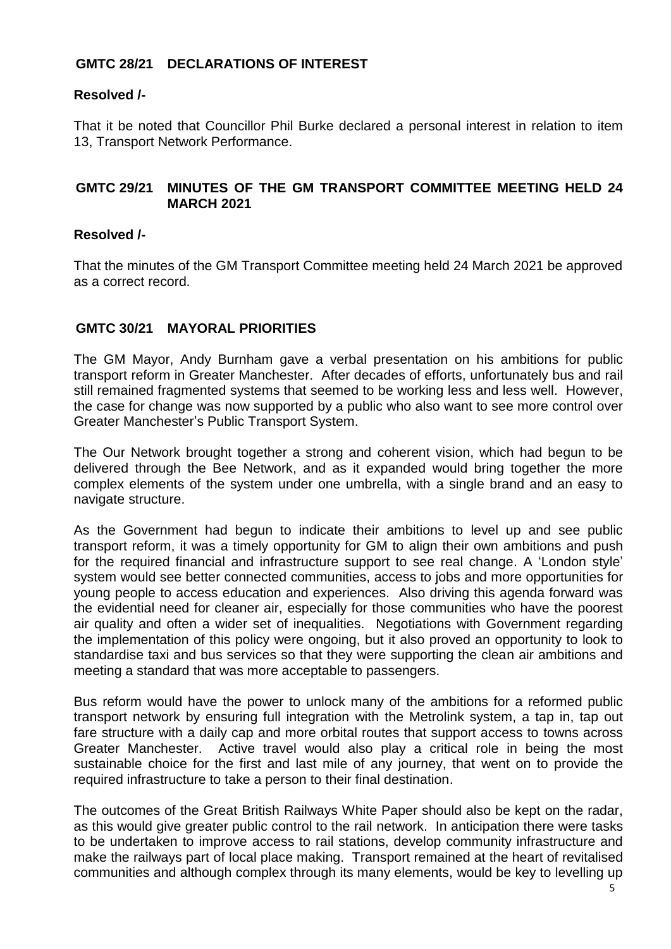## **GMTC 28/21 DECLARATIONS OF INTEREST**

### **Resolved /-**

That it be noted that Councillor Phil Burke declared a personal interest in relation to item 13, Transport Network Performance.

## **GMTC 29/21 MINUTES OF THE GM TRANSPORT COMMITTEE MEETING HELD 24 MARCH 2021**

### **Resolved /-**

That the minutes of the GM Transport Committee meeting held 24 March 2021 be approved as a correct record.

## **GMTC 30/21 MAYORAL PRIORITIES**

The GM Mayor, Andy Burnham gave a verbal presentation on his ambitions for public transport reform in Greater Manchester. After decades of efforts, unfortunately bus and rail still remained fragmented systems that seemed to be working less and less well. However, the case for change was now supported by a public who also want to see more control over Greater Manchester's Public Transport System.

The Our Network brought together a strong and coherent vision, which had begun to be delivered through the Bee Network, and as it expanded would bring together the more complex elements of the system under one umbrella, with a single brand and an easy to navigate structure.

As the Government had begun to indicate their ambitions to level up and see public transport reform, it was a timely opportunity for GM to align their own ambitions and push for the required financial and infrastructure support to see real change. A 'London style' system would see better connected communities, access to jobs and more opportunities for young people to access education and experiences. Also driving this agenda forward was the evidential need for cleaner air, especially for those communities who have the poorest air quality and often a wider set of inequalities. Negotiations with Government regarding the implementation of this policy were ongoing, but it also proved an opportunity to look to standardise taxi and bus services so that they were supporting the clean air ambitions and meeting a standard that was more acceptable to passengers.

Bus reform would have the power to unlock many of the ambitions for a reformed public transport network by ensuring full integration with the Metrolink system, a tap in, tap out fare structure with a daily cap and more orbital routes that support access to towns across Greater Manchester. Active travel would also play a critical role in being the most sustainable choice for the first and last mile of any journey, that went on to provide the required infrastructure to take a person to their final destination.

The outcomes of the Great British Railways White Paper should also be kept on the radar, as this would give greater public control to the rail network. In anticipation there were tasks to be undertaken to improve access to rail stations, develop community infrastructure and make the railways part of local place making. Transport remained at the heart of revitalised communities and although complex through its many elements, would be key to levelling up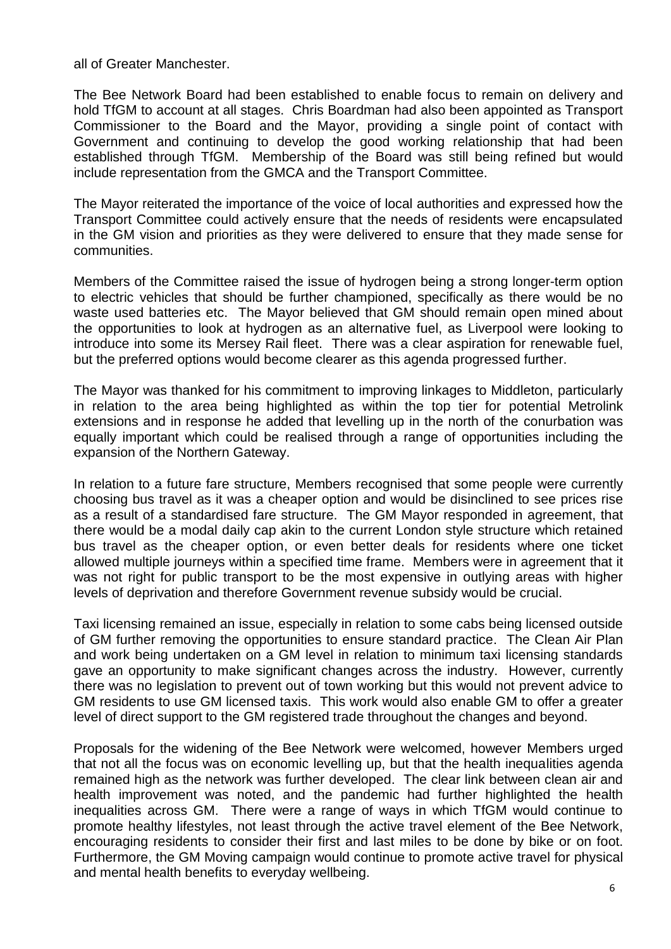all of Greater Manchester.

The Bee Network Board had been established to enable focus to remain on delivery and hold TfGM to account at all stages. Chris Boardman had also been appointed as Transport Commissioner to the Board and the Mayor, providing a single point of contact with Government and continuing to develop the good working relationship that had been established through TfGM. Membership of the Board was still being refined but would include representation from the GMCA and the Transport Committee.

The Mayor reiterated the importance of the voice of local authorities and expressed how the Transport Committee could actively ensure that the needs of residents were encapsulated in the GM vision and priorities as they were delivered to ensure that they made sense for communities.

Members of the Committee raised the issue of hydrogen being a strong longer-term option to electric vehicles that should be further championed, specifically as there would be no waste used batteries etc. The Mayor believed that GM should remain open mined about the opportunities to look at hydrogen as an alternative fuel, as Liverpool were looking to introduce into some its Mersey Rail fleet. There was a clear aspiration for renewable fuel, but the preferred options would become clearer as this agenda progressed further.

The Mayor was thanked for his commitment to improving linkages to Middleton, particularly in relation to the area being highlighted as within the top tier for potential Metrolink extensions and in response he added that levelling up in the north of the conurbation was equally important which could be realised through a range of opportunities including the expansion of the Northern Gateway.

In relation to a future fare structure, Members recognised that some people were currently choosing bus travel as it was a cheaper option and would be disinclined to see prices rise as a result of a standardised fare structure. The GM Mayor responded in agreement, that there would be a modal daily cap akin to the current London style structure which retained bus travel as the cheaper option, or even better deals for residents where one ticket allowed multiple journeys within a specified time frame. Members were in agreement that it was not right for public transport to be the most expensive in outlying areas with higher levels of deprivation and therefore Government revenue subsidy would be crucial.

Taxi licensing remained an issue, especially in relation to some cabs being licensed outside of GM further removing the opportunities to ensure standard practice. The Clean Air Plan and work being undertaken on a GM level in relation to minimum taxi licensing standards gave an opportunity to make significant changes across the industry. However, currently there was no legislation to prevent out of town working but this would not prevent advice to GM residents to use GM licensed taxis. This work would also enable GM to offer a greater level of direct support to the GM registered trade throughout the changes and beyond.

Proposals for the widening of the Bee Network were welcomed, however Members urged that not all the focus was on economic levelling up, but that the health inequalities agenda remained high as the network was further developed. The clear link between clean air and health improvement was noted, and the pandemic had further highlighted the health inequalities across GM. There were a range of ways in which TfGM would continue to promote healthy lifestyles, not least through the active travel element of the Bee Network, encouraging residents to consider their first and last miles to be done by bike or on foot. Furthermore, the GM Moving campaign would continue to promote active travel for physical and mental health benefits to everyday wellbeing.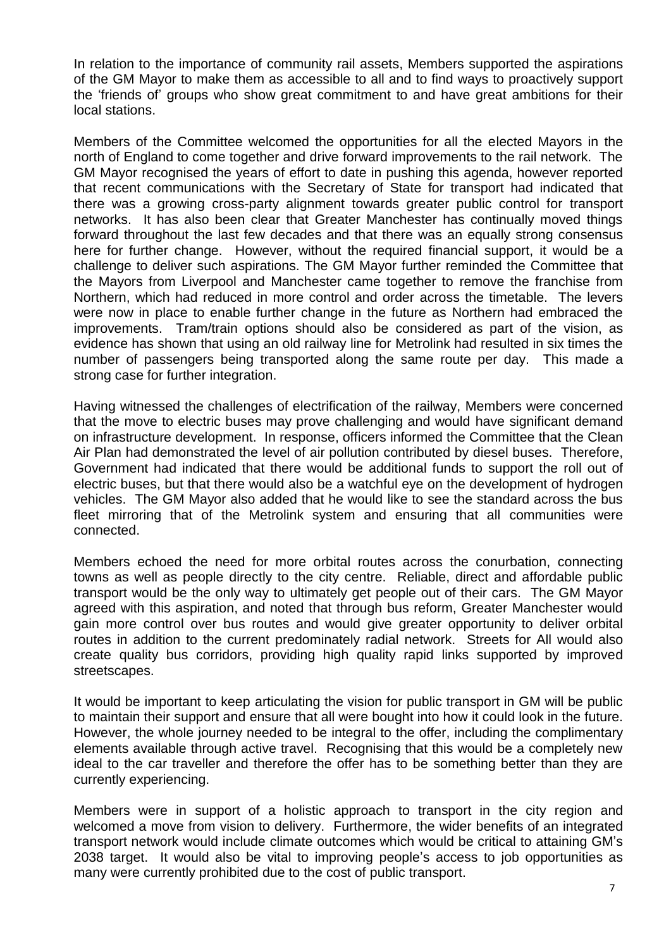In relation to the importance of community rail assets, Members supported the aspirations of the GM Mayor to make them as accessible to all and to find ways to proactively support the 'friends of' groups who show great commitment to and have great ambitions for their local stations.

Members of the Committee welcomed the opportunities for all the elected Mayors in the north of England to come together and drive forward improvements to the rail network. The GM Mayor recognised the years of effort to date in pushing this agenda, however reported that recent communications with the Secretary of State for transport had indicated that there was a growing cross-party alignment towards greater public control for transport networks. It has also been clear that Greater Manchester has continually moved things forward throughout the last few decades and that there was an equally strong consensus here for further change. However, without the required financial support, it would be a challenge to deliver such aspirations. The GM Mayor further reminded the Committee that the Mayors from Liverpool and Manchester came together to remove the franchise from Northern, which had reduced in more control and order across the timetable. The levers were now in place to enable further change in the future as Northern had embraced the improvements. Tram/train options should also be considered as part of the vision, as evidence has shown that using an old railway line for Metrolink had resulted in six times the number of passengers being transported along the same route per day. This made a strong case for further integration.

Having witnessed the challenges of electrification of the railway, Members were concerned that the move to electric buses may prove challenging and would have significant demand on infrastructure development. In response, officers informed the Committee that the Clean Air Plan had demonstrated the level of air pollution contributed by diesel buses. Therefore, Government had indicated that there would be additional funds to support the roll out of electric buses, but that there would also be a watchful eye on the development of hydrogen vehicles. The GM Mayor also added that he would like to see the standard across the bus fleet mirroring that of the Metrolink system and ensuring that all communities were connected.

Members echoed the need for more orbital routes across the conurbation, connecting towns as well as people directly to the city centre. Reliable, direct and affordable public transport would be the only way to ultimately get people out of their cars. The GM Mayor agreed with this aspiration, and noted that through bus reform, Greater Manchester would gain more control over bus routes and would give greater opportunity to deliver orbital routes in addition to the current predominately radial network. Streets for All would also create quality bus corridors, providing high quality rapid links supported by improved streetscapes.

It would be important to keep articulating the vision for public transport in GM will be public to maintain their support and ensure that all were bought into how it could look in the future. However, the whole journey needed to be integral to the offer, including the complimentary elements available through active travel. Recognising that this would be a completely new ideal to the car traveller and therefore the offer has to be something better than they are currently experiencing.

Members were in support of a holistic approach to transport in the city region and welcomed a move from vision to delivery. Furthermore, the wider benefits of an integrated transport network would include climate outcomes which would be critical to attaining GM's 2038 target. It would also be vital to improving people's access to job opportunities as many were currently prohibited due to the cost of public transport.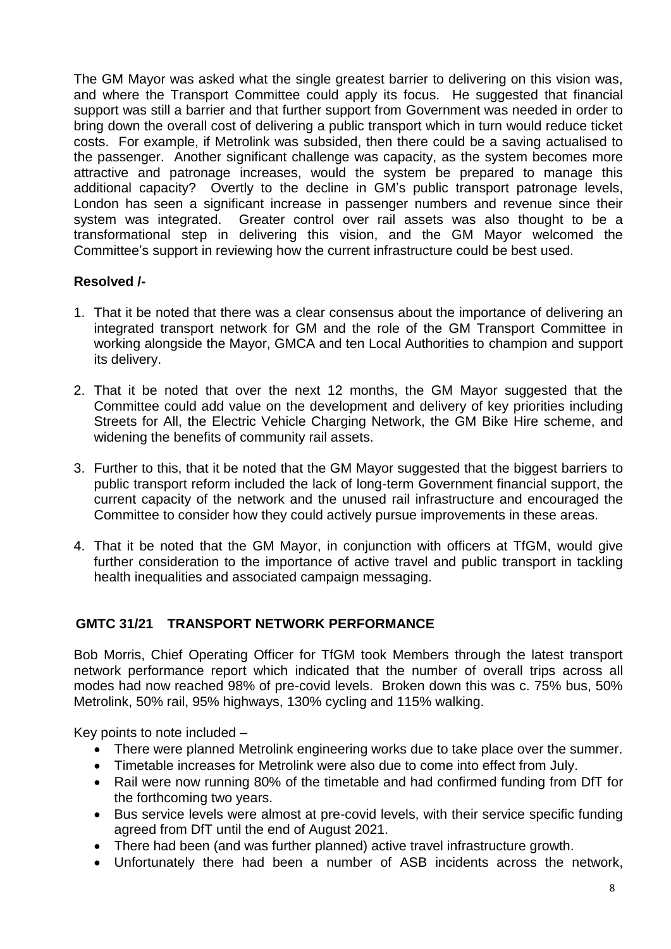The GM Mayor was asked what the single greatest barrier to delivering on this vision was, and where the Transport Committee could apply its focus. He suggested that financial support was still a barrier and that further support from Government was needed in order to bring down the overall cost of delivering a public transport which in turn would reduce ticket costs. For example, if Metrolink was subsided, then there could be a saving actualised to the passenger. Another significant challenge was capacity, as the system becomes more attractive and patronage increases, would the system be prepared to manage this additional capacity? Overtly to the decline in GM's public transport patronage levels, London has seen a significant increase in passenger numbers and revenue since their system was integrated. Greater control over rail assets was also thought to be a transformational step in delivering this vision, and the GM Mayor welcomed the Committee's support in reviewing how the current infrastructure could be best used.

# **Resolved /-**

- 1. That it be noted that there was a clear consensus about the importance of delivering an integrated transport network for GM and the role of the GM Transport Committee in working alongside the Mayor, GMCA and ten Local Authorities to champion and support its delivery.
- 2. That it be noted that over the next 12 months, the GM Mayor suggested that the Committee could add value on the development and delivery of key priorities including Streets for All, the Electric Vehicle Charging Network, the GM Bike Hire scheme, and widening the benefits of community rail assets.
- 3. Further to this, that it be noted that the GM Mayor suggested that the biggest barriers to public transport reform included the lack of long-term Government financial support, the current capacity of the network and the unused rail infrastructure and encouraged the Committee to consider how they could actively pursue improvements in these areas.
- 4. That it be noted that the GM Mayor, in conjunction with officers at TfGM, would give further consideration to the importance of active travel and public transport in tackling health inequalities and associated campaign messaging.

# **GMTC 31/21 TRANSPORT NETWORK PERFORMANCE**

Bob Morris, Chief Operating Officer for TfGM took Members through the latest transport network performance report which indicated that the number of overall trips across all modes had now reached 98% of pre-covid levels. Broken down this was c. 75% bus, 50% Metrolink, 50% rail, 95% highways, 130% cycling and 115% walking.

Key points to note included –

- There were planned Metrolink engineering works due to take place over the summer.
- Timetable increases for Metrolink were also due to come into effect from July.
- Rail were now running 80% of the timetable and had confirmed funding from DfT for the forthcoming two years.
- Bus service levels were almost at pre-covid levels, with their service specific funding agreed from DfT until the end of August 2021.
- There had been (and was further planned) active travel infrastructure growth.
- Unfortunately there had been a number of ASB incidents across the network,